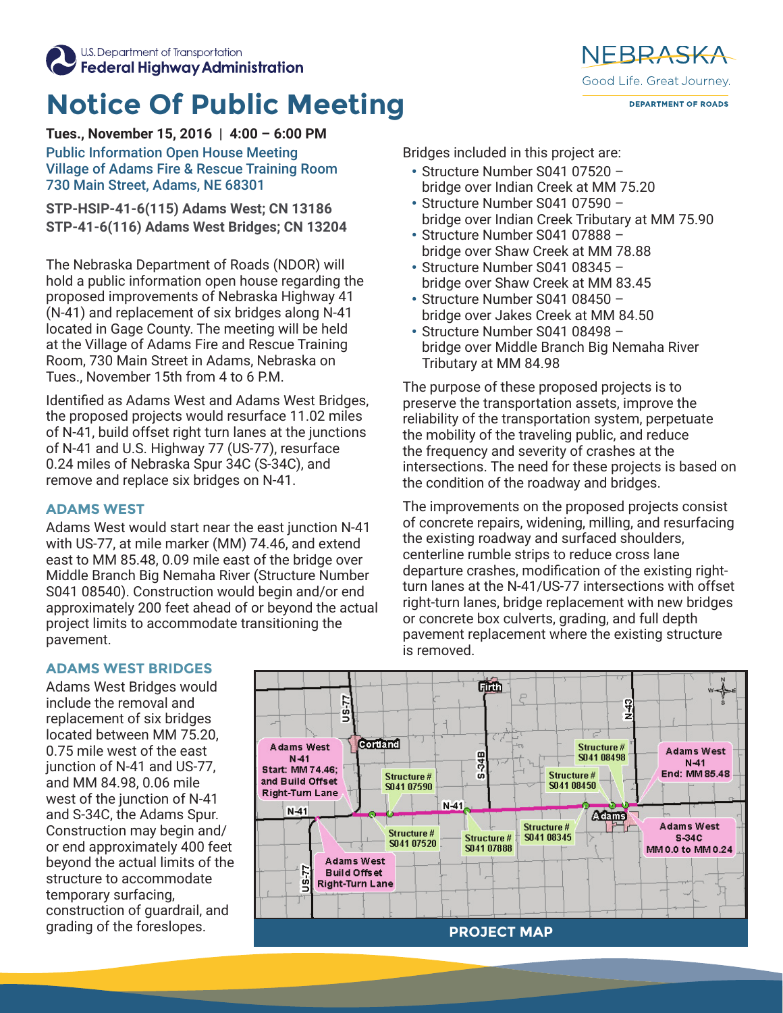

U.S. Department of Transportation Federal Highway Administration

## **Notice Of Public Meeting**

**Tues., November 15, 2016 | 4:00 – 6:00 PM**

Public Information Open House Meeting Village of Adams Fire & Rescue Training Room 730 Main Street, Adams, NE 68301

**STP-HSIP-41-6(115) Adams West; CN 13186 STP-41-6(116) Adams West Bridges; CN 13204**

The Nebraska Department of Roads (NDOR) will hold a public information open house regarding the proposed improvements of Nebraska Highway 41 (N-41) and replacement of six bridges along N-41 located in Gage County. The meeting will be held at the Village of Adams Fire and Rescue Training Room, 730 Main Street in Adams, Nebraska on Tues., November 15th from 4 to 6 P.M.

Identified as Adams West and Adams West Bridges, the proposed projects would resurface 11.02 miles of N-41, build offset right turn lanes at the junctions of N-41 and U.S. Highway 77 (US-77), resurface 0.24 miles of Nebraska Spur 34C (S-34C), and remove and replace six bridges on N-41.

## **ADAMS WEST**

Adams West would start near the east junction N-41 with US-77, at mile marker (MM) 74.46, and extend east to MM 85.48, 0.09 mile east of the bridge over Middle Branch Big Nemaha River (Structure Number S041 08540). Construction would begin and/or end approximately 200 feet ahead of or beyond the actual project limits to accommodate transitioning the pavement.

Bridges included in this project are:

- Structure Number S041 07520 bridge over Indian Creek at MM 75.20
- Structure Number S041 07590 bridge over Indian Creek Tributary at MM 75.90

NFBRASKA

Good Life, Great Journey,

**DEPARTMENT OF ROADS** 

- Structure Number S041 07888 bridge over Shaw Creek at MM 78.88
- Structure Number S041 08345 bridge over Shaw Creek at MM 83.45
- Structure Number S041 08450 bridge over Jakes Creek at MM 84.50
- Structure Number S041 08498 bridge over Middle Branch Big Nemaha River Tributary at MM 84.98

The purpose of these proposed projects is to preserve the transportation assets, improve the reliability of the transportation system, perpetuate the mobility of the traveling public, and reduce the frequency and severity of crashes at the intersections. The need for these projects is based on the condition of the roadway and bridges.

The improvements on the proposed projects consist of concrete repairs, widening, milling, and resurfacing the existing roadway and surfaced shoulders, centerline rumble strips to reduce cross lane departure crashes, modification of the existing rightturn lanes at the N-41/US-77 intersections with offset right-turn lanes, bridge replacement with new bridges or concrete box culverts, grading, and full depth pavement replacement where the existing structure is removed.

## **ADAMS WEST BRIDGES**

Adams West Bridges would include the removal and replacement of six bridges located between MM 75.20, 0.75 mile west of the east junction of N-41 and US-77, and MM 84.98, 0.06 mile west of the junction of N-41 and S-34C, the Adams Spur. Construction may begin and/ or end approximately 400 feet beyond the actual limits of the structure to accommodate temporary surfacing, construction of guardrail, and grading of the foreslopes.